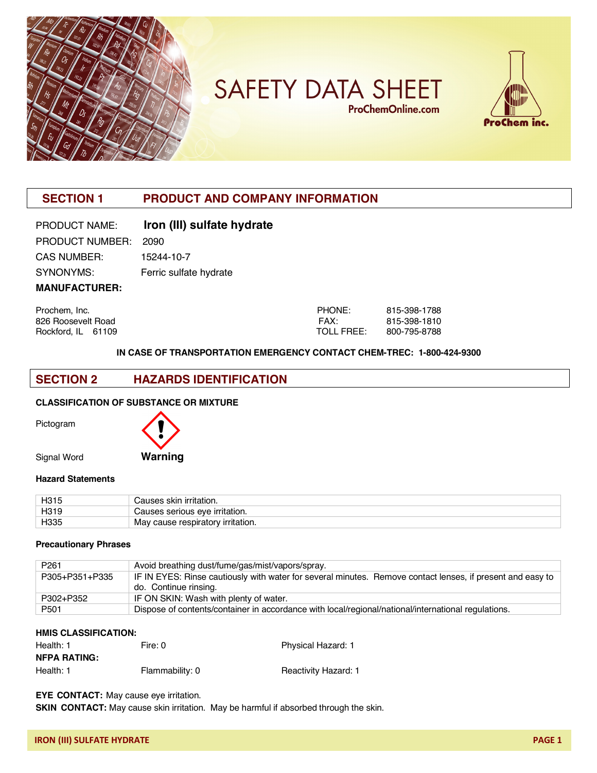

**SAFETY DATA SHEET ProChemOnline.com** 



# **SECTION 1 PRODUCT AND COMPANY INFORMATION**

| <b>PRODUCT NAME:</b> | Iron (III) sulfate hydrate |
|----------------------|----------------------------|
| PRODUCT NUMBER:      | 2090                       |
| <b>CAS NUMBER:</b>   | 15244-10-7                 |
| SYNONYMS:            | Ferric sulfate hydrate     |
| <b>MANUFACTURER:</b> |                            |

Prochem, Inc. 2008. 2015. 2016. 2016. 2017. 2018. 2017. 2018. 2017. 2018. 2017. 2018. 2018. 2019. 2018. 2019. 2019. 2018. 2019. 2018. 2019. 2018. 2019. 2018. 2019. 2019. 2019. 2019. 2019. 2019. 2019. 2019. 2019. 2019. 2019 826 Roosevelt Road **FAX:** 815-398-1810 Rockford, IL 61109 TOLL FREE: 800-795-8788

**IN CASE OF TRANSPORTATION EMERGENCY CONTACT CHEM-TREC: 1-800-424-9300**

### **SECTION 2 HAZARDS IDENTIFICATION**

#### **CLASSIFICATION OF SUBSTANCE OR MIXTURE**



Signal Word **Warning**

#### **Hazard Statements**

| H315 | ` irritation.<br><b>Skir</b>               |
|------|--------------------------------------------|
| H319 | eve irritation.<br>serious                 |
| H335 | May<br>' irritation.<br>cause respiratory. |

#### **Precautionary Phrases**

| P <sub>261</sub> | Avoid breathing dust/fume/gas/mist/vapors/spray.                                                           |
|------------------|------------------------------------------------------------------------------------------------------------|
| P305+P351+P335   | IF IN EYES: Rinse cautiously with water for several minutes. Remove contact lenses, if present and easy to |
|                  | do. Continue rinsing.                                                                                      |
| P302+P352        | IF ON SKIN: Wash with plenty of water.                                                                     |
| P <sub>501</sub> | Dispose of contents/container in accordance with local/regional/national/international regulations.        |

#### **HMIS CLASSIFICATION:**

| <b>NFPA RATING:</b> |                 |                      |
|---------------------|-----------------|----------------------|
| Health: 1           | Flammability: 0 | Reactivity Hazard: 1 |

Health: 1 Fire: 0 Fire: 0 Physical Hazard: 1

**EYE CONTACT:** May cause eye irritation.

**SKIN CONTACT:** May cause skin irritation. May be harmful if absorbed through the skin.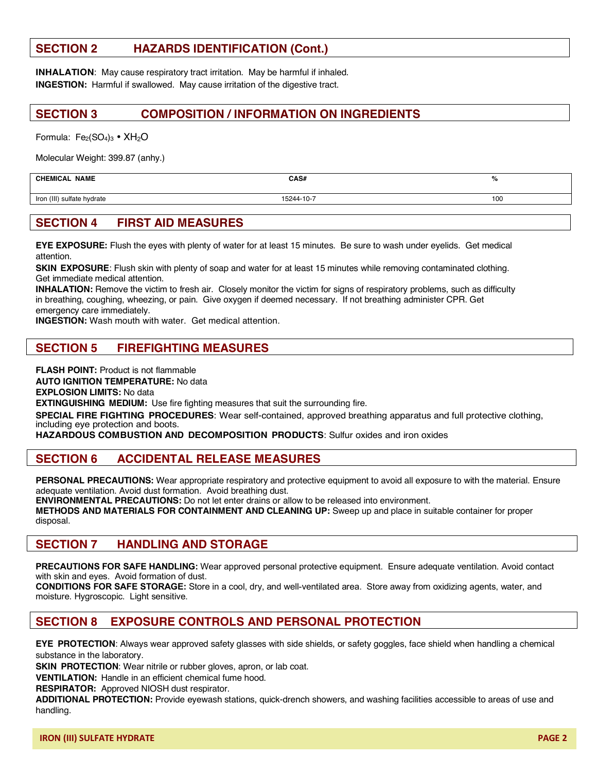# **SECTION 2 HAZARDS IDENTIFICATION (Cont.)**

**INHALATION:** May cause respiratory tract irritation. May be harmful if inhaled. **INGESTION:** Harmful if swallowed. May cause irritation of the digestive tract.

### **SECTION 3 COMPOSITION / INFORMATION ON INGREDIENTS**

Formula:  $Fe<sub>2</sub>(SO<sub>4</sub>)<sub>3</sub>$  •  $XH<sub>2</sub>O$ 

Molecular Weight: 399.87 (anhy.)

#### **CHEMICAL NAME CAS# %**

Iron (III) sulfate hydrate 15244-10-7 15244-10-7 100

### **SECTION 4 FIRST AID MEASURES**

**EYE EXPOSURE:** Flush the eyes with plenty of water for at least 15 minutes. Be sure to wash under eyelids. Get medical attention.

**SKIN EXPOSURE**: Flush skin with plenty of soap and water for at least 15 minutes while removing contaminated clothing. Get immediate medical attention.

**INHALATION:** Remove the victim to fresh air. Closely monitor the victim for signs of respiratory problems, such as difficulty in breathing, coughing, wheezing, or pain. Give oxygen if deemed necessary. If not breathing administer CPR. Get emergency care immediately.

**INGESTION:** Wash mouth with water. Get medical attention.

## **SECTION 5 FIREFIGHTING MEASURES**

**FLASH POINT:** Product is not flammable

**AUTO IGNITION TEMPERATURE:** No data

**EXPLOSION LIMITS:** No data

**EXTINGUISHING MEDIUM:** Use fire fighting measures that suit the surrounding fire.

**SPECIAL FIRE FIGHTING PROCEDURES**: Wear self-contained, approved breathing apparatus and full protective clothing, including eye protection and boots.

**HAZARDOUS COMBUSTION AND DECOMPOSITION PRODUCTS**: Sulfur oxides and iron oxides

### **SECTION 6 ACCIDENTAL RELEASE MEASURES**

**PERSONAL PRECAUTIONS:** Wear appropriate respiratory and protective equipment to avoid all exposure to with the material. Ensure adequate ventilation. Avoid dust formation. Avoid breathing dust.

**ENVIRONMENTAL PRECAUTIONS:** Do not let enter drains or allow to be released into environment.

**METHODS AND MATERIALS FOR CONTAINMENT AND CLEANING UP:** Sweep up and place in suitable container for proper disposal.

### **SECTION 7 HANDLING AND STORAGE**

**PRECAUTIONS FOR SAFE HANDLING:** Wear approved personal protective equipment. Ensure adequate ventilation. Avoid contact with skin and eyes. Avoid formation of dust.

**CONDITIONS FOR SAFE STORAGE:** Store in a cool, dry, and well-ventilated area. Store away from oxidizing agents, water, and moisture. Hygroscopic. Light sensitive.

## **SECTION 8 EXPOSURE CONTROLS AND PERSONAL PROTECTION**

**EYE PROTECTION**: Always wear approved safety glasses with side shields, or safety goggles, face shield when handling a chemical substance in the laboratory.

**SKIN PROTECTION**: Wear nitrile or rubber gloves, apron, or lab coat.

**VENTILATION:** Handle in an efficient chemical fume hood.

**RESPIRATOR:** Approved NIOSH dust respirator.

**ADDITIONAL PROTECTION:** Provide eyewash stations, quick-drench showers, and washing facilities accessible to areas of use and handling.